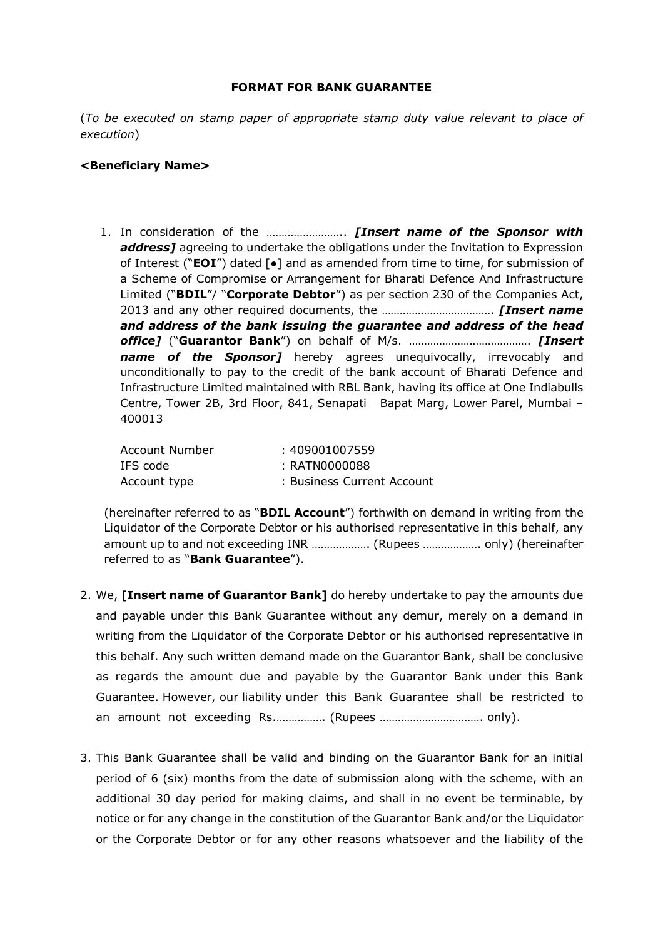## FORMAT FOR BANK GUARANTEE

(To be executed on stamp paper of appropriate stamp duty value relevant to place of execution)

## <Beneficiary Name>

1. In consideration of the .............................. [Insert name of the Sponsor with address] agreeing to undertake the obligations under the Invitation to Expression of Interest (" $EOI'$ ) dated [ $\bullet$ ] and as amended from time to time, for submission of a Scheme of Compromise or Arrangement for Bharati Defence And Infrastructure Limited ("**BDIL"/ "Corporate Debtor"**) as per section 230 of the Companies Act, 2013 and any other required documents, the ………………………………. [Insert name and address of the bank issuing the guarantee and address of the head office] ("Guarantor Bank") on behalf of M/s. …………………………………. [Insert name of the Sponsor] hereby agrees unequivocally, irrevocably and unconditionally to pay to the credit of the bank account of Bharati Defence and Infrastructure Limited maintained with RBL Bank, having its office at One Indiabulls Centre, Tower 2B, 3rd Floor, 841, Senapati Bapat Marg, Lower Parel, Mumbai – 400013

| Account Number | : 409001007559             |
|----------------|----------------------------|
| IFS code       | : RATN0000088              |
| Account type   | : Business Current Account |

(hereinafter referred to as "**BDIL Account**") forthwith on demand in writing from the Liquidator of the Corporate Debtor or his authorised representative in this behalf, any amount up to and not exceeding INR ………………. (Rupees ………………. only) (hereinafter referred to as "**Bank Guarantee**").

- 2. We, [Insert name of Guarantor Bank] do hereby undertake to pay the amounts due and payable under this Bank Guarantee without any demur, merely on a demand in writing from the Liquidator of the Corporate Debtor or his authorised representative in this behalf. Any such written demand made on the Guarantor Bank, shall be conclusive as regards the amount due and payable by the Guarantor Bank under this Bank Guarantee. However, our liability under this Bank Guarantee shall be restricted to an amount not exceeding Rs.……………. (Rupees ……………………………. only).
- 3. This Bank Guarantee shall be valid and binding on the Guarantor Bank for an initial period of 6 (six) months from the date of submission along with the scheme, with an additional 30 day period for making claims, and shall in no event be terminable, by notice or for any change in the constitution of the Guarantor Bank and/or the Liquidator or the Corporate Debtor or for any other reasons whatsoever and the liability of the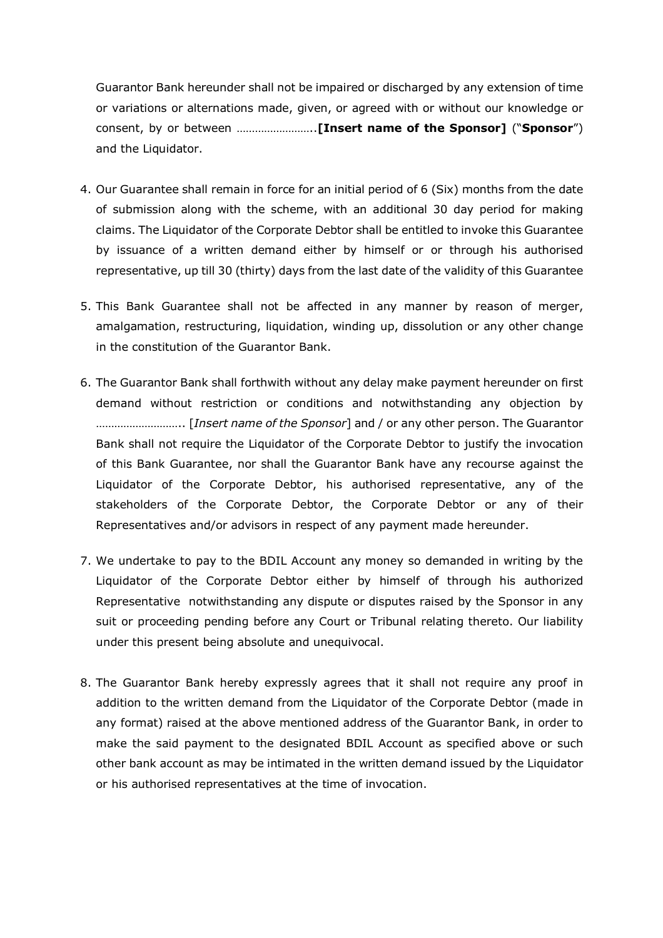Guarantor Bank hereunder shall not be impaired or discharged by any extension of time or variations or alternations made, given, or agreed with or without our knowledge or consent, by or between ……………………..[Insert name of the Sponsor] ("Sponsor") and the Liquidator.

- 4. Our Guarantee shall remain in force for an initial period of 6 (Six) months from the date of submission along with the scheme, with an additional 30 day period for making claims. The Liquidator of the Corporate Debtor shall be entitled to invoke this Guarantee by issuance of a written demand either by himself or or through his authorised representative, up till 30 (thirty) days from the last date of the validity of this Guarantee
- 5. This Bank Guarantee shall not be affected in any manner by reason of merger, amalgamation, restructuring, liquidation, winding up, dissolution or any other change in the constitution of the Guarantor Bank.
- 6. The Guarantor Bank shall forthwith without any delay make payment hereunder on first demand without restriction or conditions and notwithstanding any objection by ……………………….. [Insert name of the Sponsor] and / or any other person. The Guarantor Bank shall not require the Liquidator of the Corporate Debtor to justify the invocation of this Bank Guarantee, nor shall the Guarantor Bank have any recourse against the Liquidator of the Corporate Debtor, his authorised representative, any of the stakeholders of the Corporate Debtor, the Corporate Debtor or any of their Representatives and/or advisors in respect of any payment made hereunder.
- 7. We undertake to pay to the BDIL Account any money so demanded in writing by the Liquidator of the Corporate Debtor either by himself of through his authorized Representative notwithstanding any dispute or disputes raised by the Sponsor in any suit or proceeding pending before any Court or Tribunal relating thereto. Our liability under this present being absolute and unequivocal.
- 8. The Guarantor Bank hereby expressly agrees that it shall not require any proof in addition to the written demand from the Liquidator of the Corporate Debtor (made in any format) raised at the above mentioned address of the Guarantor Bank, in order to make the said payment to the designated BDIL Account as specified above or such other bank account as may be intimated in the written demand issued by the Liquidator or his authorised representatives at the time of invocation.